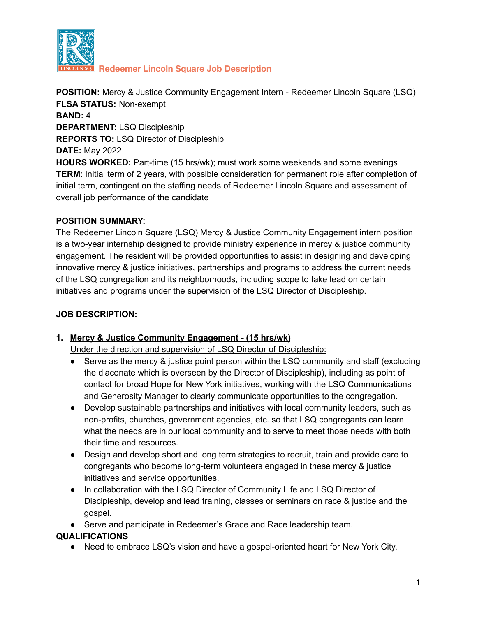

**Redeemer Lincoln Square Job Description**

**POSITION:** Mercy & Justice Community Engagement Intern - Redeemer Lincoln Square (LSQ) **FLSA STATUS:** Non-exempt **BAND:** 4 **DEPARTMENT:** LSQ Discipleship **REPORTS TO:** LSQ Director of Discipleship **DATE:** May 2022 **HOURS WORKED:** Part-time (15 hrs/wk); must work some weekends and some evenings **TERM**: Initial term of 2 years, with possible consideration for permanent role after completion of initial term, contingent on the staffing needs of Redeemer Lincoln Square and assessment of overall job performance of the candidate

### **POSITION SUMMARY:**

The Redeemer Lincoln Square (LSQ) Mercy & Justice Community Engagement intern position is a two-year internship designed to provide ministry experience in mercy & justice community engagement. The resident will be provided opportunities to assist in designing and developing innovative mercy & justice initiatives, partnerships and programs to address the current needs of the LSQ congregation and its neighborhoods, including scope to take lead on certain initiatives and programs under the supervision of the LSQ Director of Discipleship.

### **JOB DESCRIPTION:**

### **1. Mercy & Justice Community Engagement - (15 hrs/wk)**

Under the direction and supervision of LSQ Director of Discipleship:

- **●** Serve as the mercy & justice point person within the LSQ community and staff (excluding the diaconate which is overseen by the Director of Discipleship), including as point of contact for broad Hope for New York initiatives, working with the LSQ Communications and Generosity Manager to clearly communicate opportunities to the congregation.
- Develop sustainable partnerships and initiatives with local community leaders, such as non-profits, churches, government agencies, etc. so that LSQ congregants can learn what the needs are in our local community and to serve to meet those needs with both their time and resources.
- Design and develop short and long term strategies to recruit, train and provide care to congregants who become long-term volunteers engaged in these mercy & justice initiatives and service opportunities.
- In collaboration with the LSQ Director of Community Life and LSQ Director of Discipleship, develop and lead training, classes or seminars on race & justice and the gospel.
- Serve and participate in Redeemer's Grace and Race leadership team.

# **QUALIFICATIONS**

● Need to embrace LSQ's vision and have a gospel-oriented heart for New York City.